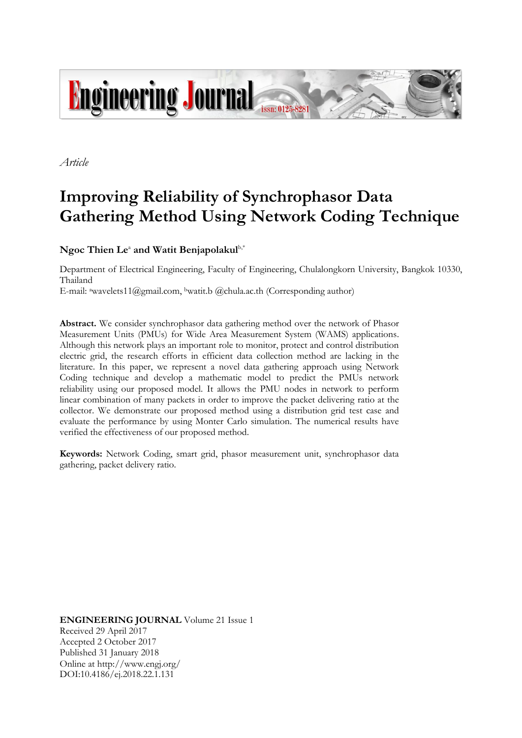

*Article*

# **Improving Reliability of Synchrophasor Data Gathering Method Using Network Coding Technique**

 $N$ goc Thien Le<sup>a</sup> and Watit Benjapolakul<sup>b,\*</sup>

Department of Electrical Engineering, Faculty of Engineering, Chulalongkorn University, Bangkok 10330, Thailand E-mail: <sup>a</sup>wavelets11@gmail.com, <sup>b</sup>watit.b @chula.ac.th (Corresponding author)

**Abstract.** We consider synchrophasor data gathering method over the network of Phasor Measurement Units (PMUs) for Wide Area Measurement System (WAMS) applications. Although this network plays an important role to monitor, protect and control distribution electric grid, the research efforts in efficient data collection method are lacking in the literature. In this paper, we represent a novel data gathering approach using Network Coding technique and develop a mathematic model to predict the PMUs network reliability using our proposed model. It allows the PMU nodes in network to perform linear combination of many packets in order to improve the packet delivering ratio at the collector. We demonstrate our proposed method using a distribution grid test case and evaluate the performance by using Monter Carlo simulation. The numerical results have verified the effectiveness of our proposed method.

**Keywords:** Network Coding, smart grid, phasor measurement unit, synchrophasor data gathering, packet delivery ratio.

**ENGINEERING JOURNAL** Volume 21 Issue 1 Received 29 April 2017 Accepted 2 October 2017 Published 31 January 2018 Online at http://www.engj.org/ DOI:10.4186/ej.2018.22.1.131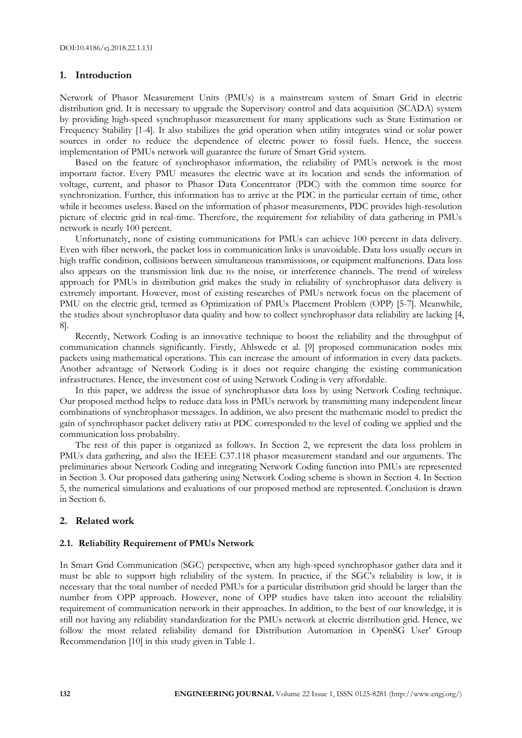## **1. Introduction**

Network of Phasor Measurement Units (PMUs) is a mainstream system of Smart Grid in electric distribution grid. It is necessary to upgrade the Supervisory control and data acquisition (SCADA) system by providing high-speed synchrophasor measurement for many applications such as State Estimation or Frequency Stability [1-4]. It also stabilizes the grid operation when utility integrates wind or solar power sources in order to reduce the dependence of electric power to fossil fuels. Hence, the success implementation of PMUs network will guarantee the future of Smart Grid system.

Based on the feature of synchrophasor information, the reliability of PMUs network is the most important factor. Every PMU measures the electric wave at its location and sends the information of voltage, current, and phasor to Phasor Data Concentrator (PDC) with the common time source for synchronization. Further, this information has to arrive at the PDC in the particular certain of time, other while it becomes useless. Based on the information of phasor measurements, PDC provides high-resolution picture of electric grid in real-time. Therefore, the requirement for reliability of data gathering in PMUs network is nearly 100 percent.

Unfortunately, none of existing communications for PMUs can achieve 100 percent in data delivery. Even with fiber network, the packet loss in communication links is unavoidable. Data loss usually occurs in high traffic condition, collisions between simultaneous transmissions, or equipment malfunctions. Data loss also appears on the transmission link due to the noise, or interference channels. The trend of wireless approach for PMUs in distribution grid makes the study in reliability of synchrophasor data delivery is extremely important. However, most of existing researches of PMUs network focus on the placement of PMU on the electric grid, termed as Optimization of PMUs Placement Problem (OPP) [5-7]. Meanwhile, the studies about synchrophasor data quality and how to collect synchrophasor data reliability are lacking [4, 8].

Recently, Network Coding is an innovative technique to boost the reliability and the throughput of communication channels significantly. Firstly, Ahlswede et al. [9] proposed communication nodes mix packets using mathematical operations. This can increase the amount of information in every data packets. Another advantage of Network Coding is it does not require changing the existing communication infrastructures. Hence, the investment cost of using Network Coding is very affordable.

In this paper, we address the issue of synchrophasor data loss by using Network Coding technique. Our proposed method helps to reduce data loss in PMUs network by transmitting many independent linear combinations of synchrophasor messages. In addition, we also present the mathematic model to predict the gain of synchrophasor packet delivery ratio at PDC corresponded to the level of coding we applied and the communication loss probability.

The rest of this paper is organized as follows. In Section 2, we represent the data loss problem in PMUs data gathering, and also the IEEE C37.118 phasor measurement standard and our arguments. The preliminaries about Network Coding and integrating Network Coding function into PMUs are represented in Section 3. Our proposed data gathering using Network Coding scheme is shown in Section 4. In Section 5, the numerical simulations and evaluations of our proposed method are represented. Conclusion is drawn in Section 6.

# **2. Related work**

## **2.1. Reliability Requirement of PMUs Network**

In Smart Grid Communication (SGC) perspective, when any high-speed synchrophasor gather data and it must be able to support high reliability of the system. In practice, if the SGC's reliability is low, it is necessary that the total number of needed PMUs for a particular distribution grid should be larger than the number from OPP approach. However, none of OPP studies have taken into account the reliability requirement of communication network in their approaches. In addition, to the best of our knowledge, it is still not having any reliability standardization for the PMUs network at electric distribution grid. Hence, we follow the most related reliability demand for Distribution Automation in OpenSG User' Group Recommendation [10] in this study given in Table 1.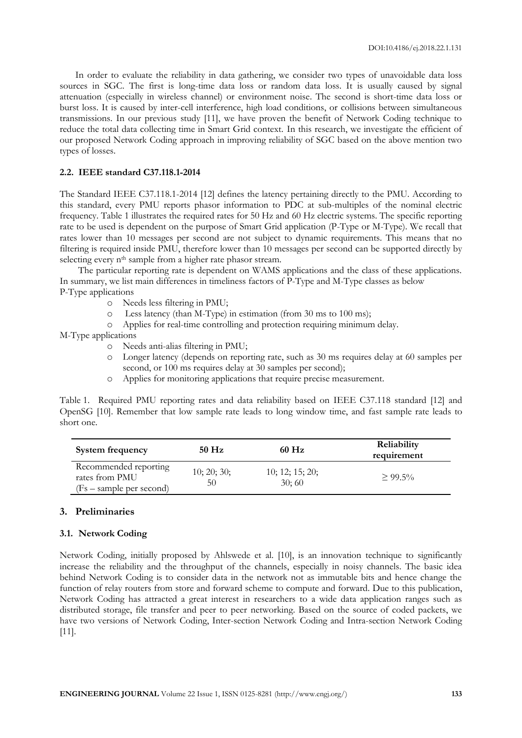In order to evaluate the reliability in data gathering, we consider two types of unavoidable data loss sources in SGC. The first is long-time data loss or random data loss. It is usually caused by signal attenuation (especially in wireless channel) or environment noise. The second is short-time data loss or burst loss. It is caused by inter-cell interference, high load conditions, or collisions between simultaneous transmissions. In our previous study [11], we have proven the benefit of Network Coding technique to reduce the total data collecting time in Smart Grid context. In this research, we investigate the efficient of our proposed Network Coding approach in improving reliability of SGC based on the above mention two types of losses.

### **2.2. IEEE standard C37.118.1-2014**

The Standard IEEE C37.118.1-2014 [12] defines the latency pertaining directly to the PMU. According to this standard, every PMU reports phasor information to PDC at sub-multiples of the nominal electric frequency. Table 1 illustrates the required rates for 50 Hz and 60 Hz electric systems. The specific reporting rate to be used is dependent on the purpose of Smart Grid application (P-Type or M-Type). We recall that rates lower than 10 messages per second are not subject to dynamic requirements. This means that no filtering is required inside PMU, therefore lower than 10 messages per second can be supported directly by selecting every n<sup>th</sup> sample from a higher rate phasor stream.

The particular reporting rate is dependent on WAMS applications and the class of these applications. In summary, we list main differences in timeliness factors of P-Type and M-Type classes as below P-Type applications

- o Needs less filtering in PMU;
- o Less latency (than M-Type) in estimation (from 30 ms to 100 ms);
- o Applies for real-time controlling and protection requiring minimum delay.

M-Type applications

- o Needs anti-alias filtering in PMU;
- o Longer latency (depends on reporting rate, such as 30 ms requires delay at 60 samples per second, or 100 ms requires delay at 30 samples per second);
- o Applies for monitoring applications that require precise measurement.

Table 1. Required PMU reporting rates and data reliability based on IEEE C37.118 standard [12] and OpenSG [10]. Remember that low sample rate leads to long window time, and fast sample rate leads to short one.

| <b>System frequency</b>                                             | $50$ Hz           | 60 Hz                    | Reliability<br>requirement |
|---------------------------------------------------------------------|-------------------|--------------------------|----------------------------|
| Recommended reporting<br>rates from PMU<br>(Fs – sample per second) | 10; 20; 30;<br>50 | 10; 12; 15; 20;<br>30;60 | $> 99.5\%$                 |

## **3. Preliminaries**

#### **3.1. Network Coding**

Network Coding, initially proposed by Ahlswede et al. [10], is an innovation technique to significantly increase the reliability and the throughput of the channels, especially in noisy channels. The basic idea behind Network Coding is to consider data in the network not as immutable bits and hence change the function of relay routers from store and forward scheme to compute and forward. Due to this publication, Network Coding has attracted a great interest in researchers to a wide data application ranges such as distributed storage, file transfer and peer to peer networking. Based on the source of coded packets, we have two versions of Network Coding, Inter-section Network Coding and Intra-section Network Coding [11].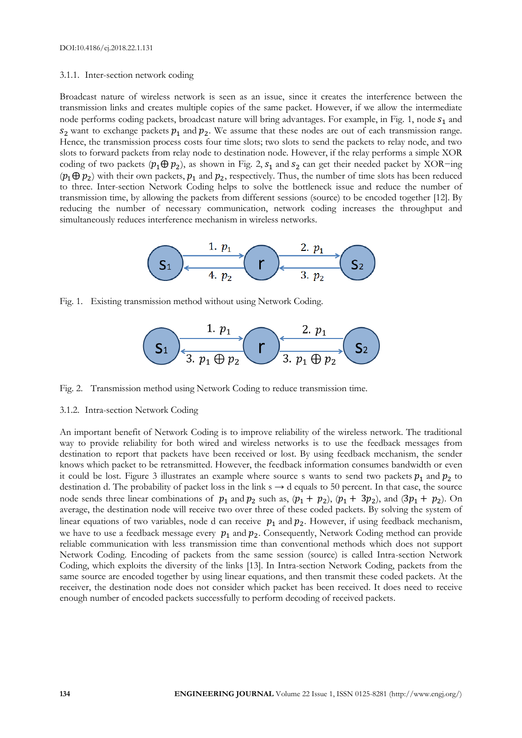#### 3.1.1. Inter-section network coding

Broadcast nature of wireless network is seen as an issue, since it creates the interference between the transmission links and creates multiple copies of the same packet. However, if we allow the intermediate node performs coding packets, broadcast nature will bring advantages. For example, in Fig. 1, node  $s<sub>1</sub>$  and  $s_2$  want to exchange packets  $p_1$  and  $p_2$ . We assume that these nodes are out of each transmission range. Hence, the transmission process costs four time slots; two slots to send the packets to relay node, and two slots to forward packets from relay node to destination node. However, if the relay performs a simple XOR coding of two packets ( $p_1 \oplus p_2$ ), as shown in Fig. 2,  $s_1$  and  $s_2$  can get their needed packet by XOR−ing  $(p_1 \oplus p_2)$  with their own packets,  $p_1$  and  $p_2$ , respectively. Thus, the number of time slots has been reduced to three. Inter-section Network Coding helps to solve the bottleneck issue and reduce the number of transmission time, by allowing the packets from different sessions (source) to be encoded together [12]. By reducing the number of necessary communication, network coding increases the throughput and simultaneously reduces interference mechanism in wireless networks.



Fig. 1. Existing transmission method without using Network Coding.



Fig. 2. Transmission method using Network Coding to reduce transmission time.

#### 3.1.2. Intra-section Network Coding

An important benefit of Network Coding is to improve reliability of the wireless network. The traditional way to provide reliability for both wired and wireless networks is to use the feedback messages from destination to report that packets have been received or lost. By using feedback mechanism, the sender knows which packet to be retransmitted. However, the feedback information consumes bandwidth or even it could be lost. Figure 3 illustrates an example where source s wants to send two packets  $p_1$  and  $p_2$  to destination d. The probability of packet loss in the link s → d equals to 50 percent. In that case, the source node sends three linear combinations of  $p_1$  and  $p_2$  such as,  $(p_1 + p_2)$ ,  $(p_1 + 3p_2)$ , and  $(3p_1 + p_2)$ . On average, the destination node will receive two over three of these coded packets. By solving the system of linear equations of two variables, node d can receive  $p_1$  and  $p_2$ . However, if using feedback mechanism, we have to use a feedback message every  $p_1$  and  $p_2$ . Consequently, Network Coding method can provide reliable communication with less transmission time than conventional methods which does not support Network Coding. Encoding of packets from the same session (source) is called Intra-section Network Coding, which exploits the diversity of the links [13]. In Intra-section Network Coding, packets from the same source are encoded together by using linear equations, and then transmit these coded packets. At the receiver, the destination node does not consider which packet has been received. It does need to receive enough number of encoded packets successfully to perform decoding of received packets.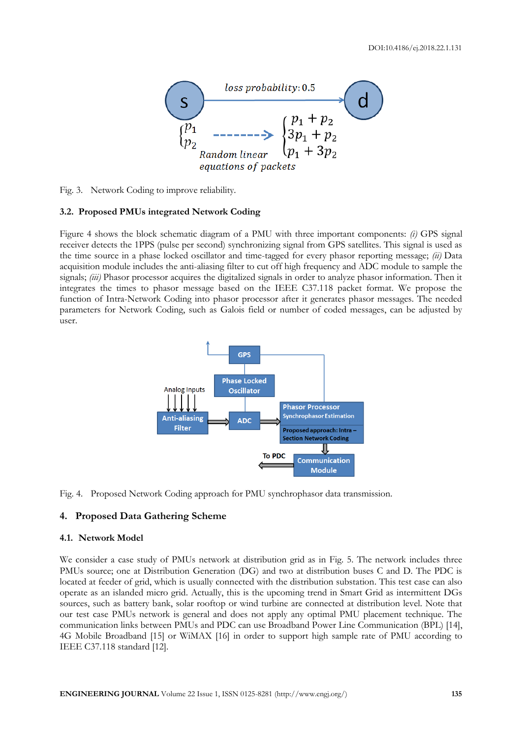

Fig. 3. Network Coding to improve reliability.

#### **3.2. Proposed PMUs integrated Network Coding**

Figure 4 shows the block schematic diagram of a PMU with three important components: *(i)* GPS signal receiver detects the 1PPS (pulse per second) synchronizing signal from GPS satellites. This signal is used as the time source in a phase locked oscillator and time-tagged for every phasor reporting message; *(ii)* Data acquisition module includes the anti-aliasing filter to cut off high frequency and ADC module to sample the signals; *(iii)* Phasor processor acquires the digitalized signals in order to analyze phasor information. Then it integrates the times to phasor message based on the IEEE C37.118 packet format. We propose the function of Intra-Network Coding into phasor processor after it generates phasor messages. The needed parameters for Network Coding, such as Galois field or number of coded messages, can be adjusted by user.



Fig. 4. Proposed Network Coding approach for PMU synchrophasor data transmission.

## **4. Proposed Data Gathering Scheme**

#### **4.1. Network Model**

We consider a case study of PMUs network at distribution grid as in Fig. 5. The network includes three PMUs source; one at Distribution Generation (DG) and two at distribution buses C and D. The PDC is located at feeder of grid, which is usually connected with the distribution substation. This test case can also operate as an islanded micro grid. Actually, this is the upcoming trend in Smart Grid as intermittent DGs sources, such as battery bank, solar rooftop or wind turbine are connected at distribution level. Note that our test case PMUs network is general and does not apply any optimal PMU placement technique. The communication links between PMUs and PDC can use Broadband Power Line Communication (BPL) [14], 4G Mobile Broadband [15] or WiMAX [16] in order to support high sample rate of PMU according to IEEE C37.118 standard [12].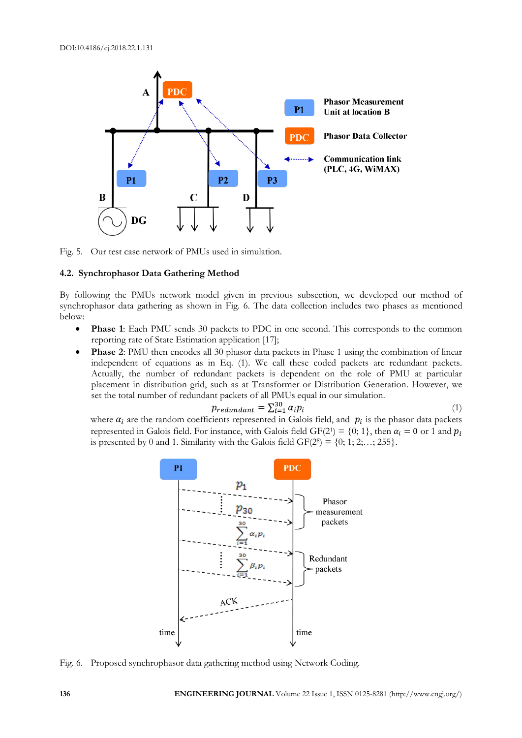

Fig. 5. Our test case network of PMUs used in simulation.

### **4.2. Synchrophasor Data Gathering Method**

By following the PMUs network model given in previous subsection, we developed our method of synchrophasor data gathering as shown in Fig. 6. The data collection includes two phases as mentioned below:

- **Phase 1**: Each PMU sends 30 packets to PDC in one second. This corresponds to the common reporting rate of State Estimation application [17];
- **Phase 2**: PMU then encodes all 30 phasor data packets in Phase 1 using the combination of linear independent of equations as in Eq. (1). We call these coded packets are redundant packets. Actually, the number of redundant packets is dependent on the role of PMU at particular placement in distribution grid, such as at Transformer or Distribution Generation. However, we set the total number of redundant packets of all PMUs equal in our simulation.

$$
p_{redundant} = \sum_{i=1}^{30} \alpha_i p_i \tag{1}
$$

where  $\alpha_i$  are the random coefficients represented in Galois field, and  $p_i$  is the phasor data packets represented in Galois field. For instance, with Galois field  $GF(2^1) = \{0; 1\}$ , then  $\alpha_i = 0$  or 1 and  $p_i$ is presented by 0 and 1. Similarity with the Galois field  $GF(2^s) = \{0; 1; 2; \ldots; 255\}.$ 



Fig. 6. Proposed synchrophasor data gathering method using Network Coding.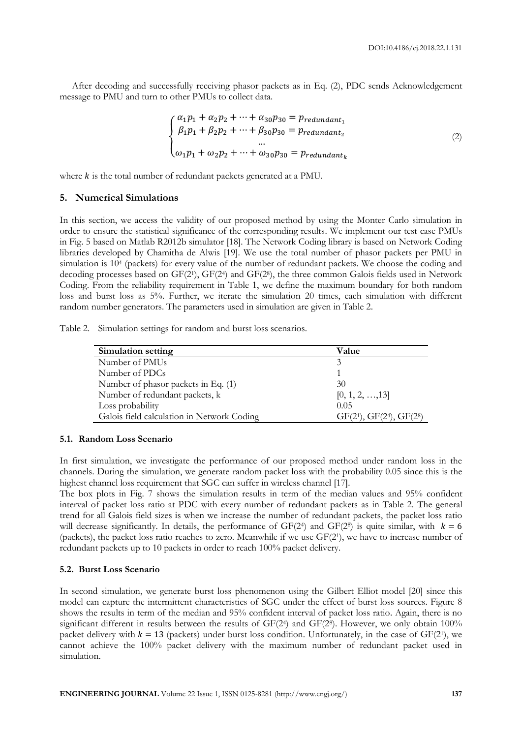After decoding and successfully receiving phasor packets as in Eq. (2), PDC sends Acknowledgement message to PMU and turn to other PMUs to collect data.

$$
\begin{cases}\n\alpha_1 p_1 + \alpha_2 p_2 + \dots + \alpha_{30} p_{30} = p_{redundant_1} \\
\beta_1 p_1 + \beta_2 p_2 + \dots + \beta_{30} p_{30} = p_{redundant_2} \\
\dots \\
\omega_1 p_1 + \omega_2 p_2 + \dots + \omega_{30} p_{30} = p_{redundant_k}\n\end{cases}
$$
\n(2)

where  $k$  is the total number of redundant packets generated at a PMU.

# **5. Numerical Simulations**

In this section, we access the validity of our proposed method by using the Monter Carlo simulation in order to ensure the statistical significance of the corresponding results. We implement our test case PMUs in Fig. 5 based on Matlab R2012b simulator [18]. The Network Coding library is based on Network Coding libraries developed by Chamitha de Alwis [19]. We use the total number of phasor packets per PMU in simulation is 10<sup>4</sup> (packets) for every value of the number of redundant packets. We choose the coding and decoding processes based on GF(21), GF(24) and GF(28), the three common Galois fields used in Network Coding. From the reliability requirement in Table 1, we define the maximum boundary for both random loss and burst loss as 5%. Further, we iterate the simulation 20 times, each simulation with different random number generators. The parameters used in simulation are given in Table 2.

|  |  | Table 2. Simulation settings for random and burst loss scenarios. |
|--|--|-------------------------------------------------------------------|

| Simulation setting                         | Value                             |
|--------------------------------------------|-----------------------------------|
| Number of PMUs                             | 3                                 |
| Number of PDCs                             |                                   |
| Number of phasor packets in Eq. (1)        | 30                                |
| Number of redundant packets, k             | [0, 1, 2, , 13]                   |
| Loss probability                           | 0.05                              |
| Galois field calculation in Network Coding | $GF(2^1)$ , $GF(2^4)$ , $GF(2^8)$ |

#### **5.1. Random Loss Scenario**

In first simulation, we investigate the performance of our proposed method under random loss in the channels. During the simulation, we generate random packet loss with the probability 0.05 since this is the highest channel loss requirement that SGC can suffer in wireless channel [17].

The box plots in Fig. 7 shows the simulation results in term of the median values and 95% confident interval of packet loss ratio at PDC with every number of redundant packets as in Table 2. The general trend for all Galois field sizes is when we increase the number of redundant packets, the packet loss ratio will decrease significantly. In details, the performance of  $GF(2<sup>4</sup>)$  and  $GF(2<sup>8</sup>)$  is quite similar, with  $k = 6$ (packets), the packet loss ratio reaches to zero. Meanwhile if we use GF(2<sup>1</sup> ), we have to increase number of redundant packets up to 10 packets in order to reach 100% packet delivery.

## **5.2. Burst Loss Scenario**

In second simulation, we generate burst loss phenomenon using the Gilbert Elliot model [20] since this model can capture the intermittent characteristics of SGC under the effect of burst loss sources. Figure 8 shows the results in term of the median and 95% confident interval of packet loss ratio. Again, there is no significant different in results between the results of GF(2<sup>4</sup>) and GF(2<sup>8</sup>). However, we only obtain 100% packet delivery with  $k = 13$  (packets) under burst loss condition. Unfortunately, in the case of GF(2<sup>1</sup>), we cannot achieve the 100% packet delivery with the maximum number of redundant packet used in simulation.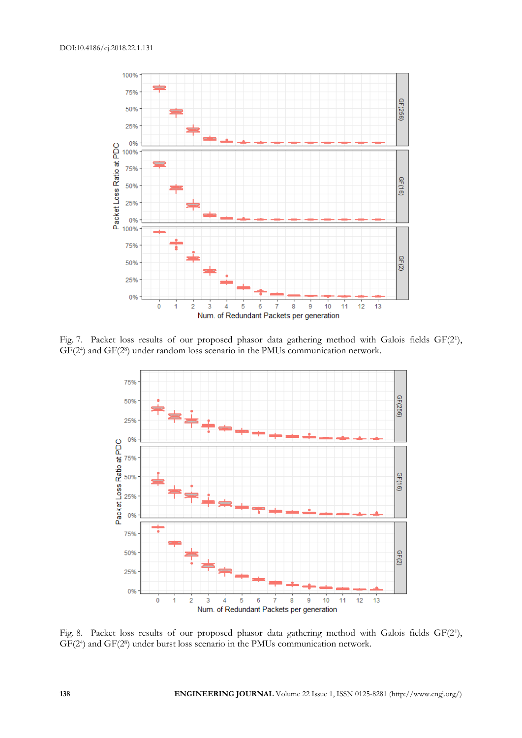

Fig. 7. Packet loss results of our proposed phasor data gathering method with Galois fields GF(21), GF(2<sup>4</sup> ) and GF(2<sup>8</sup> ) under random loss scenario in the PMUs communication network.



Fig. 8. Packet loss results of our proposed phasor data gathering method with Galois fields GF(21), GF(2<sup>4</sup>) and GF(2<sup>8</sup>) under burst loss scenario in the PMUs communication network.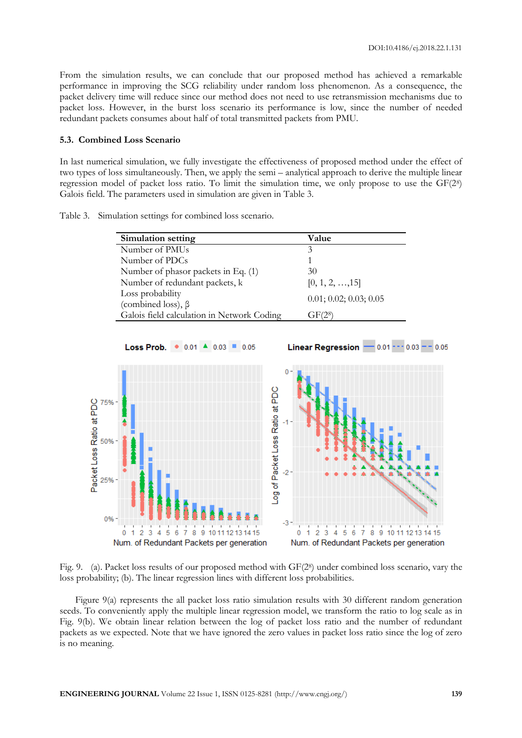From the simulation results, we can conclude that our proposed method has achieved a remarkable performance in improving the SCG reliability under random loss phenomenon. As a consequence, the packet delivery time will reduce since our method does not need to use retransmission mechanisms due to packet loss. However, in the burst loss scenario its performance is low, since the number of needed redundant packets consumes about half of total transmitted packets from PMU.

## **5.3. Combined Loss Scenario**

In last numerical simulation, we fully investigate the effectiveness of proposed method under the effect of two types of loss simultaneously. Then, we apply the semi – analytical approach to derive the multiple linear regression model of packet loss ratio. To limit the simulation time, we only propose to use the GF(2<sup>8</sup> ) Galois field. The parameters used in simulation are given in Table 3.

Table 3. Simulation settings for combined loss scenario.

| Simulation setting                           | Value                   |
|----------------------------------------------|-------------------------|
| Number of PMUs                               | 3                       |
| Number of PDCs                               |                         |
| Number of phasor packets in Eq. (1)          | 30                      |
| Number of redundant packets, k               | $[0, 1, 2, \ldots, 15]$ |
| Loss probability<br>(combined loss), $\beta$ | 0.01; 0.02; 0.03; 0.05  |
| Galois field calculation in Network Coding   | GF(2 <sup>8</sup> )     |



Fig. 9. (a). Packet loss results of our proposed method with GF(28) under combined loss scenario, vary the loss probability; (b). The linear regression lines with different loss probabilities.

Figure 9(a) represents the all packet loss ratio simulation results with 30 different random generation seeds. To conveniently apply the multiple linear regression model, we transform the ratio to log scale as in Fig. 9(b). We obtain linear relation between the log of packet loss ratio and the number of redundant packets as we expected. Note that we have ignored the zero values in packet loss ratio since the log of zero is no meaning.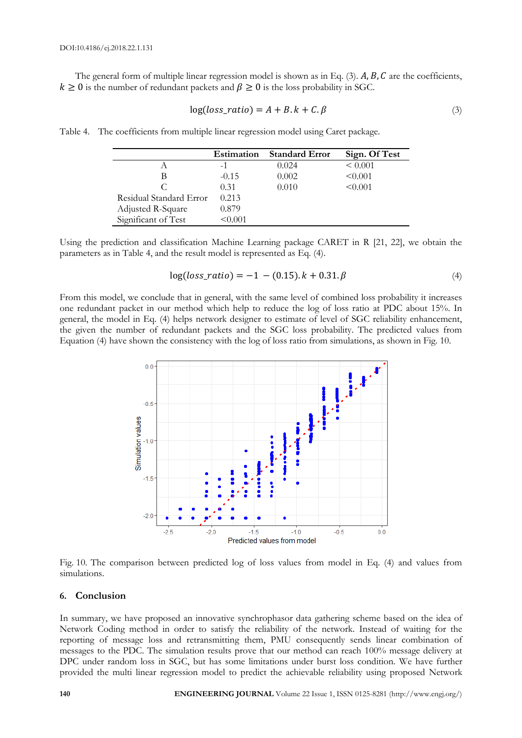The general form of multiple linear regression model is shown as in Eq. (3).  $A, B, C$  are the coefficients,  $k \geq 0$  is the number of redundant packets and  $\beta \geq 0$  is the loss probability in SGC.

$$
log(logs\_ratio) = A + B. k + C. \beta
$$
\n(3)

Table 4. The coefficients from multiple linear regression model using Caret package.

|                         | <b>Estimation</b> | <b>Standard Error</b> | Sign. Of Test |
|-------------------------|-------------------|-----------------------|---------------|
|                         | -1                | 0.024                 | ${}_{0.001}$  |
| В                       | $-0.15$           | 0.002                 | < 0.001       |
| C                       | 0.31              | 0.010                 | < 0.001       |
| Residual Standard Error | 0.213             |                       |               |
| Adjusted R-Square       | 0.879             |                       |               |
| Significant of Test     | $\leq 0.001$      |                       |               |

Using the prediction and classification Machine Learning package CARET in R [21, 22], we obtain the parameters as in Table 4, and the result model is represented as Eq. (4).

$$
log(logs\_ratio) = -1 - (0.15).k + 0.31.\beta
$$
\n(4)

From this model, we conclude that in general, with the same level of combined loss probability it increases one redundant packet in our method which help to reduce the log of loss ratio at PDC about 15%. In general, the model in Eq. (4) helps network designer to estimate of level of SGC reliability enhancement, the given the number of redundant packets and the SGC loss probability. The predicted values from Equation (4) have shown the consistency with the log of loss ratio from simulations, as shown in Fig. 10.



Fig. 10. The comparison between predicted log of loss values from model in Eq. (4) and values from simulations.

# **6. Conclusion**

In summary, we have proposed an innovative synchrophasor data gathering scheme based on the idea of Network Coding method in order to satisfy the reliability of the network. Instead of waiting for the reporting of message loss and retransmitting them, PMU consequently sends linear combination of messages to the PDC. The simulation results prove that our method can reach 100% message delivery at DPC under random loss in SGC, but has some limitations under burst loss condition. We have further provided the multi linear regression model to predict the achievable reliability using proposed Network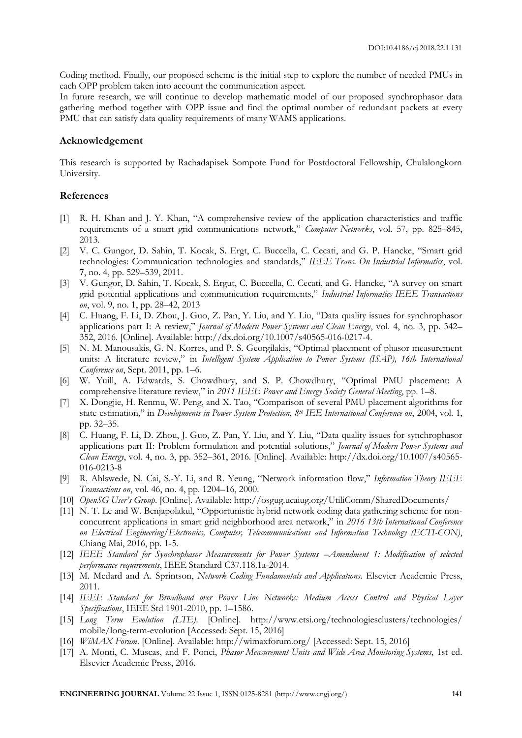Coding method. Finally, our proposed scheme is the initial step to explore the number of needed PMUs in each OPP problem taken into account the communication aspect.

In future research, we will continue to develop mathematic model of our proposed synchrophasor data gathering method together with OPP issue and find the optimal number of redundant packets at every PMU that can satisfy data quality requirements of many WAMS applications.

## **Acknowledgement**

This research is supported by Rachadapisek Sompote Fund for Postdoctoral Fellowship, Chulalongkorn University.

#### **References**

- [1] R. H. Khan and J. Y. Khan, "A comprehensive review of the application characteristics and traffic requirements of a smart grid communications network," *Computer Networks*, vol. 57, pp. 825–845, 2013.
- [2] V. C. Gungor, D. Sahin, T. Kocak, S. Ergt, C. Buccella, C. Cecati, and G. P. Hancke, "Smart grid technologies: Communication technologies and standards," *IEEE Trans. On Industrial Informatics*, vol. **7**, no. 4, pp. 529–539, 2011.
- [3] V. Gungor, D. Sahin, T. Kocak, S. Ergut, C. Buccella, C. Cecati, and G. Hancke, "A survey on smart grid potential applications and communication requirements," *Industrial Informatics IEEE Transactions on*, vol. 9, no. 1, pp. 28–42, 2013
- [4] C. Huang, F. Li, D. Zhou, J. Guo, Z. Pan, Y. Liu, and Y. Liu, "Data quality issues for synchrophasor applications part I: A review," *Journal of Modern Power Systems and Clean Energy*, vol. 4, no. 3, pp. 342– 352, 2016. [Online]. Available: http://dx.doi.org/10.1007/s40565-016-0217-4.
- [5] N. M. Manousakis, G. N. Korres, and P. S. Georgilakis, "Optimal placement of phasor measurement units: A literature review," in *Intelligent System Application to Power Systems (ISAP), 16th International Conference on*, Sept. 2011, pp. 1–6.
- [6] W. Yuill, A. Edwards, S. Chowdhury, and S. P. Chowdhury, "Optimal PMU placement: A comprehensive literature review," in *2011 IEEE Power and Energy Society General Meeting*, pp. 1–8.
- [7] X. Dongjie, H. Renmu, W. Peng, and X. Tao, "Comparison of several PMU placement algorithms for state estimation," in *Developments in Power System Protection*, *8th IEE International Conference on*, 2004, vol. 1, pp. 32–35.
- [8] C. Huang, F. Li, D. Zhou, J. Guo, Z. Pan, Y. Liu, and Y. Liu, "Data quality issues for synchrophasor applications part II: Problem formulation and potential solutions," *Journal of Modern Power Systems and Clean Energy*, vol. 4, no. 3, pp. 352–361, 2016. [Online]. Available: http://dx.doi.org/10.1007/s40565- 016-0213-8
- [9] R. Ahlswede, N. Cai, S.-Y. Li, and R. Yeung, "Network information flow," *Information Theory IEEE Transactions on*, vol. 46, no. 4, pp. 1204–16, 2000.
- [10] *OpenSG User's Group*. [Online]. Available: http://osgug.ucaiug.org/UtiliComm/SharedDocuments/
- [11] N. T. Le and W. Benjapolakul, "Opportunistic hybrid network coding data gathering scheme for nonconcurrent applications in smart grid neighborhood area network," in *2016 13th International Conference on Electrical Engineering/Electronics, Computer, Telecommunications and Information Technology (ECTI-CON)*, Chiang Mai, 2016, pp. 1-5.
- [12] *IEEE Standard for Synchrophasor Measurements for Power Systems* –*Amendment 1: Modification of selected performance requirements*, IEEE Standard C37.118.1a-2014.
- [13] M. Medard and A. Sprintson, *Network Coding Fundamentals and Applications*. Elsevier Academic Press, 2011.
- [14] *IEEE Standard for Broadband over Power Line Networks: Medium Access Control and Physical Layer Specifications*, IEEE Std 1901-2010, pp. 1–1586.
- [15] *Long Term Evolution (LTE)*. [Online]. http://www.etsi.org/technologiesclusters/technologies/ mobile/long-term-evolution [Accessed: Sept. 15, 2016]
- [16] *WiMAX Forum*. [Online]. Available: http://wimaxforum.org/ [Accessed: Sept. 15, 2016]
- [17] A. Monti, C. Muscas, and F. Ponci, *Phasor Measurement Units and Wide Area Monitoring Systems*, 1st ed. Elsevier Academic Press, 2016.